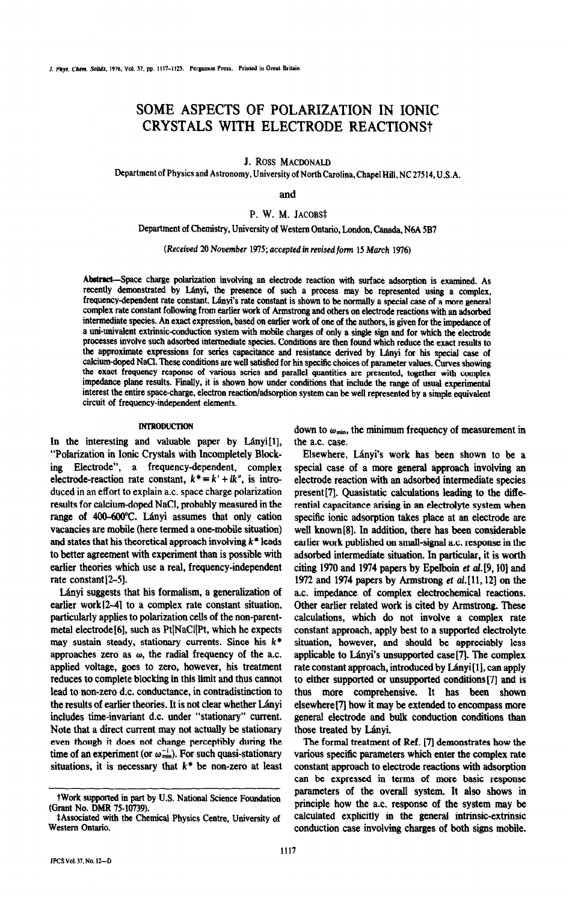# SOME ASPECTS OF POLARIZATION IN IONIC CRYSTALS WITH ELECTRODE REACTIONS<sup>+</sup>

J. Ross **MACDONALD** 

Department of Physics and Astronomy,University of North Carolina, Chapel Hill, NC 27514, U.S.A.

and

P. W. M. JACOBS‡

Department of Chemistry, University of Western Ontario, London, Canada, N6A 5B7

(Received 20 *November* 1975; accepted in revised form 15 March 1976)

Abstract-Space charge polarization involving an electrode reaction with surface adsorption is examined. As recently demonstrated by Lányi, the presence of such a process may be represented using a complex, frequency-dependent rate constant. Lányi's rate constant is shown to be normally a special case of a more general complex rate constant following from earlier work of Armstrong and others on electrode reactions with an adsorbed intermediate species. An exact expression, based on earlier work of one of the authors, is given for the impedance of a uni-univalent extrinsic-conduction system with mobile charges of only a single sign and for which the electrode processes involve such adsorbed intermediate species. Conditions are then found which reduce the exact results to the approximate expressions for series capacitance and resistance derived by Lanyi for his special case of calcium-doped NaCl. These conditions are well satisfied for his specific choices of parameter values. Curves showing the exact frequency response of various series and parallel quantities are presented, together with complex impedance plane results. Finally, it is shown how under conditions that include the range of usual experimental interest the entire space-charge, electron reaction/adsorption system can be well represented by a simple equivalent circuit of frequency-independent elements.

# **INTRODUCTION**

In the interesting and valuable paper by Lányi<sup>[1]</sup>, "Polarization in Ionic Crystals with Incompletely Blocking Electrode", a frequency-dependent, complex electrode-reaction rate constant,  $k^* = k' + ik''$ , is introduced in an effort to explain a.c. space charge polarization results for calcium-doped NaCl, probably measured in the range of 400-600°C. Lányi assumes that only cation vacancies are mobile (here termed a one-mobile situation) and states that his theoretical approach involving  $k^*$  leads to better agreement with experiment than is possible with earlier theories which use a real, frequency-independent rate constant $[2-5]$ .

L&nyi suggests that his formalism, a generalization of earlier work $[2-4]$  to a complex rate constant situation, particularly applies to polarization cells of the non-parentmetal electrode<sup>[6]</sup>, such as Pt<sup>[NaCl]</sup>Pt, which he expects may sustain steady, stationary currents. Since his  $k^*$ approaches zero as  $\omega$ , the radial frequency of the a.c. applied voltage, goes to zero, however, his treatment reduces to complete blocking in this limit and thus cannot lead to non-zero d.c. conductance, in contradistinction to the results of earlier theories. It is not clear whether Lányi includes time-invariant d.c. under "stationary" current. Note that a direct current may not actually be stationary even though it does not change perceptibly during the time of an experiment (or  $\omega_{min}^{-1}$ ). For such quasi-stationary situations, it is necessary that  $k^*$  be non-zero at least down to  $\omega_{\text{min}}$ , the minimum frequency of measurement in the a.c. case.

Elsewhere, Lányi's work has been shown to be a special case of a more general approach involving an electrode reaction with an adsorbed intermediate species present [7]. Quasistatic calculations leading to the differential capacitance arising in an electrolyte system when specific ionic adsorption takes place at an electrode are well known[8]. In addition, there has been considerable earlier work published on small-signal a.c. response in the adsorbed intermediate situation. In particular, it is worth citing 1970 and 1974 papers by Epelbom et al.[9, lo] and 1972 and 1974 papers by Armstrong et al.[11,12] on the a.c. impedance of complex electrochemical reactions. Other earlier related work is cited by Armstrong. These calculations, which do not involve a complex rate constant approach, apply best to a supported electrolyte situation, however, and should be appreciably less applicable to Lányi's unsupported case<sup>[7]</sup>. The complex rate constant approach, introduced by Lányi[1], can apply to either supported or unsupported conditions[7] and is thus more comprehensive. It has been shown elsewhere<sup>[7]</sup> how it may be extended to encompass more general electrode and bulk conduction conditions than those treated by Lanyi.

The formal treatment of Ref. [7l demonstrates how the various specific parameters which enter the complex rate constant approach to electrode reactions with adsorption can be expressed in terms of more basic response parameters of the overall system. It also shows in principle how the a.c. response of the system may be calculated explicitly in the general intrinsic-extrinsic conduction case involving charges of both signs mobile.

tWork supported in part by U.S. National Science Foundation (Grant No. DMR 75-10739).

<sup>‡</sup>Associated with the Chemical Physics Centre, University of Western Ontario.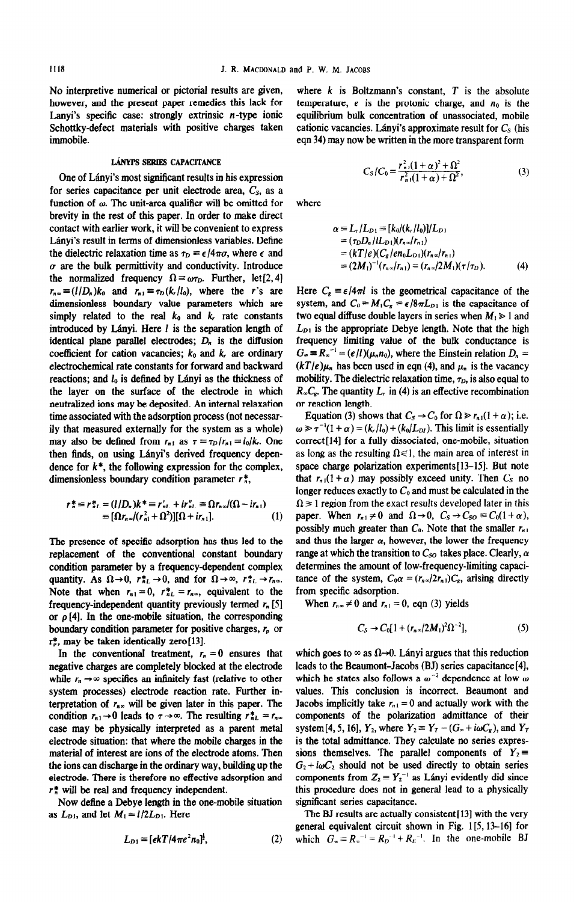No interpretive numerical or pictorial results are given, however, and the present paper remedies this lack for Lanyi's specific case: strongly extrinsic  $n$ -type ionic Schottky-defect materials with positive charges taken immobile.

## LÁNYPS SERIES CAPACITANCE

One of Lányi's most significant results in his expression for series capacitance per unit electrode area,  $C_s$ , as a function of  $\omega$ . The unit-area qualifier will be omitted for brevity in the rest of this paper. In order to make direct contact with earlier work, it will be convenient to express L&nyi's result in terms of dimensionless variables. Define the dielectric relaxation time as  $\tau_D = \epsilon/4\pi\sigma$ , where  $\epsilon$  and  $\sigma$  are the bulk permittivity and conductivity. Introduce the normalized frequency  $\Omega = \omega \tau_D$ . Further, let [2, 4]  $r_{n\infty} = (l/D_n)k_0$  and  $r_{n1} = \tau_D(k, l/c)$ , where the r's are dimensionless boundary value parameters which are simply related to the real  $k_0$  and  $k_r$  rate constants introduced by Lányi. Here  $l$  is the separation length of identical plane parallel electrodes;  $D_n$  is the diffusion coefficient for cation vacancies;  $k_0$  and  $k_r$  are ordinary electrochemical rate constants for forward and backward reactions; and  $l_0$  is defined by Lányi as the thickness of the layer on the surface of the electrode in which neutralized ions may be deposited. An internal relaxation time associated with the adsorption process (not necessarily that measured externally for the system as a whole) may also be defined from  $r_{n1}$  as  $\tau \equiv \tau_D/r_{n1} = l_0/k_r$ . One then finds, on using Lányi's derived frequency dependence for  $k^*$ , the following expression for the complex, dimensionless boundary condition parameter  $r_n^*$ ,

$$
r_n^* = r_{nL}^* = (l/D_n)k^* = r_{nL}' + ir_{nL}'' \equiv \Omega r_{n\infty}/(\Omega - ir_{n1})
$$
  
\n
$$
\equiv [\Omega r_{n\infty}/(r_{n1}^2 + \Omega^2)][\Omega + ir_{n1}].
$$
 (1)

The presence of specific adsorption has thus led to the replacement of the conventional constant boundary condition parameter by a frequency-dependent complex quantity. As  $\Omega \rightarrow 0$ ,  $r_{nL}^{*} \rightarrow 0$ , and for  $\Omega \rightarrow \infty$ ,  $r_{nL}^{*} \rightarrow r_{n\infty}$ . Note that when  $r_{n_1} = 0$ ,  $r_{n}^* = r_{n\infty}$ , equivalent to the frequency-independent quantity previously termed  $r_n$  [5] or  $\rho$  [4]. In the one-mobile situation, the corresponding boundary condition parameter for positive charges,  $r<sub>p</sub>$  or  $r_e^*$ , may be taken identically zero[13].

In the conventional treatment,  $r_n = 0$  ensures that negative charges are completely blocked at the electrode while  $r_n \rightarrow \infty$  specifies an infinitely fast (relative to other system processes) electrode reaction rate. Further interpretation of *r., will be given* later in this paper. The condition  $r_{n1} \rightarrow 0$  leads to  $\tau \rightarrow \infty$ . The resulting  $r_{nL}^* = r_{n\infty}$ case may be physically interpreted as a parent metal electrode situation: that where the mobile charges in the material of interest are ions of the electrode atoms. Then the ions can discharge in the ordinary way, building up the electrode. There is therefore no effective adsorption and  $r_n^*$  will be real and frequency independent.

Now define a Debye length in the one-mobile situation as  $L_{D1}$ , and let  $M_1 = l/2L_{D1}$ . Here

$$
L_{D1} = [\epsilon kT/4\pi e^2 n_0]^{\frac{1}{2}},\tag{2}
$$

where  $k$  is Boltzmann's constant,  $T$  is the absolute temperature,  $e$  is the protonic charge, and  $n_0$  is the equilibrium bulk concentration of unassociated, mobile cationic vacancies. Lányi's approximate result for  $C_s$  (his eqn 34) may now be written in the more transparent form

$$
C_{S}/C_{0} = \frac{r_{n1}^{2}(1+\alpha)^{2} + \Omega^{2}}{r_{n1}^{2}(1+\alpha) + \Omega^{2}},
$$
\n(3)

where

$$
\alpha = L_r/L_{D1} = [k_0/(k_r/l_0)]/L_{D1}
$$
  
=  $(\tau_D D_n/l L_{D1})(r_n \circ (r_n))$   
=  $(kT/e)(C_s (en_0 L_{D1})(r_n \circ (r_n))$   
=  $(2M_1)^{-1}(r_n \circ (r_n)) = (r_n \circ (2M_1)(\tau / \tau_D)).$  (4)

Here  $C_8 = \epsilon/4\pi l$  is the geometrical capacitance of the system, and  $C_0 = M_1 C_s = \epsilon/8\pi L_{D_1}$  is the capacitance of two equal diffuse double layers in series when  $M_1 \geq 1$  and  $L_{D1}$  is the appropriate Debye length. Note that the high frequency limiting value of the bulk conductance is  $G_{\infty} = R_{\infty}^{-1} = (e/l)(\mu_n n_0)$ , where the Einstein relation  $D_n =$  $(kT/e)\mu_n$  has been used in eqn (4), and  $\mu_n$  is the vacancy mobility. The dielectric relaxation time,  $\tau_D$ , is also equal to  $R<sub>z</sub>C<sub>g</sub>$ . The quantity *L*, in (4) is an effective recombination or reaction length.

Equation (3) shows that  $C_s \rightarrow C_0$  for  $\Omega \gg r_{n,1}(1+\alpha)$ ; i.e.  $\omega \gg \tau^{-1}(1 + \alpha) = (k_r/l_0) + (k_0/L_{DI})$ . This limit is essentially correct[l4] for a fully dissociated, one-mobile, situation as long as the resulting  $\Omega \ll 1$ , the main area of interest in space charge polarization experiments [13-15]. But note that  $r_{n}$ (1+ $\alpha$ ) may possibly exceed unity. Then  $C_{S}$  no longer reduces exactly to  $C_0$  and must be calculated in the  $\Omega \geq 1$  region from the exact results developed later in this paper. When  $r_{n1} \neq 0$  and  $\Omega \rightarrow 0$ ,  $C_s \rightarrow C_{so} \equiv C_0(1+\alpha)$ , possibly much greater than  $C_0$ . Note that the smaller  $r_{n_1}$ and thus the larger  $\alpha$ , however, the lower the frequency range at which the transition to  $C_{SO}$  takes place. Clearly,  $\alpha$ determines the amount of low-frequency-limiting capacitance of the system,  $C_0 \alpha = (r_{n\infty}/2r_{n\perp})C_g$ , arising directly from specific adsorption.

When  $r_{n*} \neq 0$  and  $r_{n+1} = 0$ , eqn (3) yields

$$
C_S \to C_0[1 + (r_{n\infty}/2M_1)^2 \Omega^{-2}], \tag{5}
$$

which goes to  $\infty$  as  $\Omega\rightarrow 0$ . Lányi argues that this reduction leads to the Beaumont-Jacobs (BJ) series capacitance [4], which he states also follows a  $\omega^{-2}$  dependence at low  $\omega$ values. This conclusion is incorrect. Beaumont and Jacobs implicitly take  $r_{n_1} = 0$  and actually work with the components of the polarization admittance of their system [4, 5, 16],  $Y_2$ , where  $Y_2 \equiv Y_T - (G_* + i\omega C_s)$ , and  $Y_T$ is the total admittance. They calculate no series expressions themselves. The parallel components of  $Y_2 \equiv$  $G_2 + i\omega C_2$  should not be used directly to obtain series components from  $Z_2 = Y_2^{-1}$  as Lányi evidently did since this procedure does not in general lead to a physically significant series capacitance.

The BJ results are actually consistent [13] with the very general equivalent circuit shown in Fig. 1[5,13-161 for which  $G_n \equiv R_n^{-1} = R_p^{-1} + R_E^{-1}$ . In the one-mobile **BJ**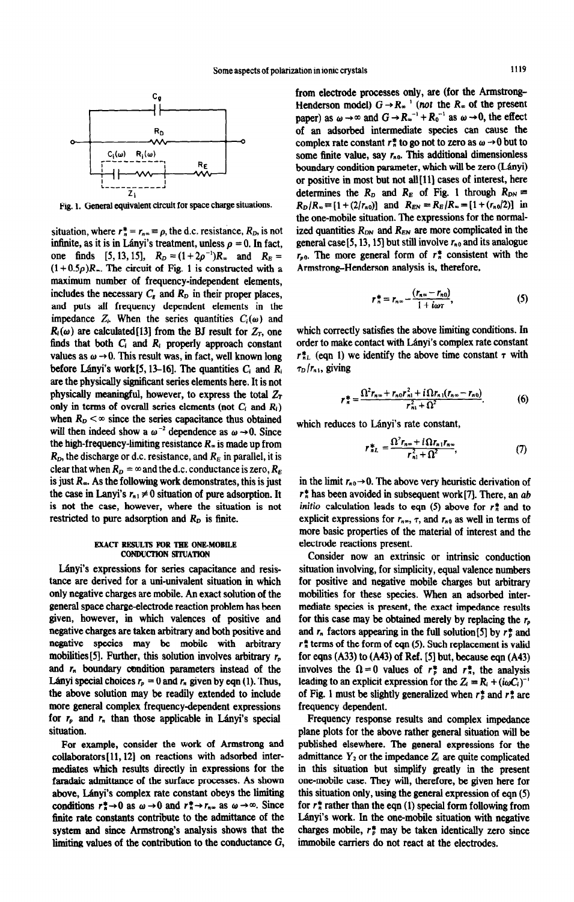

Fig. 1. General equivalent circuit for space charge situations.

situation, where  $r_n^* = r_{n_\infty} = \rho$ , the d.c. resistance,  $R_D$ , is not infinite, as it is in Lányi's treatment, unless  $p = 0$ . In fact, one finds [5, 13, 15],  $R_D = (1 + 2\rho^{-1})R_{\infty}$  and  $R_E =$  $(1+0.5\rho)R_{\infty}$ . The circuit of Fig. 1 is constructed with a maximum number of frequency-independent elements, includes the necessary  $C_s$  and  $R_p$  in their proper places, and puts all frequency dependent elements in the impedance  $Z_i$ . When the series quantities  $C_i(\omega)$  and  $R_i(\omega)$  are calculated [13] from the BJ result for  $Z_T$ , one finds that both  $C_i$  and  $R_i$  properly approach constant values as  $\omega \rightarrow 0$ . This result was, in fact, well known long before Lányi's work $[5, 13-16]$ . The quantities  $C_i$  and  $R_i$ are the physically significant series elements here. It is not physically meaningful, however, to express the total  $Z_T$ only in terms of overall series elements (not  $C_i$  and  $R_i$ ) when  $R_D < \infty$  since the series capacitance thus obtained will then indeed show a  $\omega^{-2}$  dependence as  $\omega \rightarrow 0$ . Since the high-frequency-limiting resistance  $R<sub>\infty</sub>$  is made up from  $R<sub>D</sub>$ , the discharge or d.c. resistance, and  $R<sub>E</sub>$  in parallel, it is clear that when  $R_p = \infty$  and the d.c. conductance is zero,  $R_E$ is just  $R<sub>o</sub>$ . As the following work demonstrates, this is just the case in Lanyi's  $r_{n1} \neq 0$  situation of pure adsorption. It is not the case, however, where the situation is not restricted to pure adsorption and  $R_D$  is finite.

# FXACT RESULTS **FOR TRB ONE-MOBILE CONDUCTION SITUATION**

Lányi's expressions for series capacitance and resistance are derived for a uni-univalent situation in which only negative charges are mobile. An exact solution of the general space charge-electrode reaction problem has been given, however, in which valences of positive and negative charges are taken arbitrary and both positive and negative species may be mobile with arbitrary mobiities[5l. Further, this solution involves arbitrary *r,*  and *m boundary* condition parameters instead of the Lányi special choices  $r_p = 0$  and  $r_n$  given by eqn (1). Thus, the above solution may be readily extended to include more general complex frequency-dependent expressions for  $r_p$  and  $r_n$  than those applicable in Lányi's special situation.

For example, consider the work of **Armstrong and**  collaborators[ 11,121 on reactions with adsorbed inter**mediates** which results directly in expressions for the faradaic admittance of the surface processes. As shown above, Lányi's complex rate constant obeys the limiting conditions  $r_n^* \rightarrow 0$  as  $\omega \rightarrow 0$  and  $r_n^* \rightarrow r_n$  as  $\omega \rightarrow \infty$ . Since finite rate constants contribute to the admittance of the system and since Armstrong's analysis shows that the limiting values of the contribution to the conductance G,

from electrode processes only, are (for the Armstrong-Henderson model)  $G \rightarrow R_{\infty}^{-1}$  (not the R<sub>n</sub> of the present paper) as  $\omega \to \infty$  and  $G \to R_{\infty}^{-1} + R_0^{-1}$  as  $\omega \to 0$ , the effect of an adsorbed intermediate species can cause the complex rate constant  $r_n^*$  to go not to zero as  $\omega \rightarrow 0$  but to some 6nite value, say *rno. This* additional dimensionless boundary condition parameter, which will be zero (Lányi) or positive in most but not all [11] cases of interest, here determines the  $R_D$  and  $R_E$  of Fig. 1 through  $R_{DN} =$  $R_D/R_\infty = [1+(2/r_{n0})]$  and  $R_{EN} = R_E/R_\infty = [1+(r_{n0}/2)]$  in the one-mobile situation. The expressions for the normalized quantities  $R_{DN}$  and  $R_{EN}$  are more complicated in the general case $[5, 13, 15]$  but still involve  $r_{n0}$  and its analogue  $r_{p0}$ . The more general form of  $r_{n}^{*}$  consistent with the Armstrong-Henderson analysis is, therefore,

$$
r_n^* = r_{n\infty} - \frac{(r_{n\infty} - r_{n0})}{1 + i\omega\tau}, \qquad (5)
$$

which correctly satisfies the above limiting conditions. In order to make contact with Lányi's complex rate constant  $r_{nL}^*$  (eqn 1) we identify the above time constant  $\tau$  with  $\tau_D/r_{n1}$ , giving

$$
r_n^* = \frac{\Omega^2 r_{n\infty} + r_{n0} r_{n1}^2 + i \Omega r_{n1} (r_{n\infty} - r_{n0})}{r_{n1}^2 + \Omega^2}.
$$
 (6)

which reduces to L&nyi's rate constant,

$$
r_{nL}^* = \frac{\Omega^2 r_{n\infty} + i \Omega r_{n1} r_{n\infty}}{r_{n1}^2 + \Omega^2},\tag{7}
$$

in the limit  $r_{n0} \rightarrow 0$ . The above very heuristic derivation of *r!:* has been avoided in subsequent work[71. There, an *ab*  initio calculation leads to eqn (5) above for  $r_n^*$  and to explicit expressions for  $r_{n\infty}$ ,  $\tau$ , and  $r_{n0}$  as well in terms of more basic properties of the material of interest and the electrode reactions present.

Consider now an extrinsic or intrinsic conduction situation involving, for simplicity, equal valence numbers for positive and negative mobile charges but arbitrary mobiities for these species. when an adsorbed intermediate species is present, the exact impedance results for this case may be obtained merely by replacing the *r,*  and  $r_n$  factors appearing in the full solution [5] by  $r_n^*$  and  $r_n^*$  terms of the form of eqn (5). Such replacement is valid for eqns (A33) to (A43) of Ref. [5] but, because eqn (A43) involves the  $\Omega = 0$  values of  $r_r^*$  and  $r_n^*$ , the analysis leading to an explicit expression for the  $Z_i = R_i + (i\omega C_i)^{-1}$ of Fig. 1 must be slightly generalized when *r\$* and *r!: are*  frequency dependent.

Frequency response results and complex impedance plane plots for the above rather general situation will be published elsewhere. The general expressions for the admittance  $Y_2$  or the impedance  $Z_i$  are quite complicated in this situation but simplify greatly in the present one-mobile case. They will, therefore, be given here for this situation only, using the general expression of eqn (5) for  $r_n^*$  rather than the eqn (1) special form following from L&nyi's work. In the one-mobile situation with negative charges mobile,  $r_p^*$  may be taken identically zero since immobile carriers do not react at the electrodes.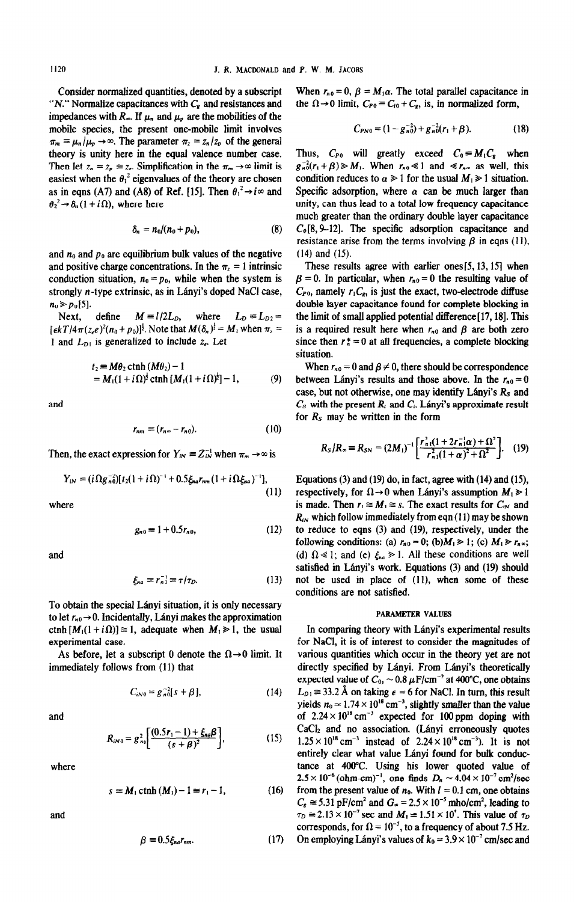"N." Normalize capacitances with  $C_s$  and resistances and the  $\Omega \rightarrow 0$  limit,  $C_{P0} = C_{i0} + C_s$ , is, in normalized form, impedances with  $R_{\infty}$ . If  $\mu_n$  and  $\mu_p$  are the mobilities of the mobile species, the present one-mobile limit involves  $\pi_m \equiv \mu_n / \mu_p \rightarrow \infty$ . The parameter  $\pi_z = z_n / z_p$  of the general theory is unity here in the equal valence number case. Thus,  $C_{P0}$  will greatly exceed  $C_0 = M_1C_8$  when

$$
\delta_n = n_0/(n_0 + p_0), \qquad (8)
$$

and  $n_0$  and  $p_0$  are equilibrium bulk values of the negative (14) and (15). and positive charge concentrations. In the  $\pi$  = 1 intrinsic These results agree with earlier ones[5, 13, 15] when

 $[\epsilon kT/4\pi(z_e)^2(n_0+p_0)]^{\frac{1}{2}}$ . Note that  $M(\delta_n)^{\frac{1}{2}} = M_1$  when  $\pi_z =$  is a required result here when  $r_{n_0}$  and  $\beta$  are both zero

$$
t_2 \equiv M\theta_2 \coth (M\theta_2) - 1
$$
  
=  $M_1(1 + i\Omega)^{\frac{1}{2}} \coth [M_1(1 + i\Omega)^{\frac{1}{2}}] - 1,$  (9)

$$
r_{nm} \equiv (r_{n\infty} - r_{n0}). \tag{10}
$$

Then, the exact expression for  $Y_{iN} = Z_{iN}^{-1}$  when  $\pi_m \rightarrow \infty$  is

$$
Y_{iN} = (i\Omega g_{n0}^{-2})[t_2(1+i\Omega)^{-1} + 0.5\xi_{na}r_{nm}(1+i\Omega\xi_{na})^{-1}],
$$

$$
g_{n0} = 1 + 0.5r_{n0}, \tag{12}
$$

$$
\xi_{na} \equiv r_{n1}^{-1} \equiv \tau / \tau_D. \tag{13}
$$

To obtain the special Lányi situation, it is only necessary to let  $r_{n0} \rightarrow 0$ . Incidentally, Lányi makes the approximation PARAMETER VALUES ctnh  $[M_1(1+i\Omega)] \cong 1$ , adequate when  $M_1 \ge 1$ , the usual In comparing theory with Lányi's experimental results

$$
C_{iN0} = g_{n0}^{-2} [s + \beta], \qquad (14)
$$

$$
R_{iN0} = g_{n0}^2 \bigg[ \frac{(0.5r_1 - 1) + \xi_{n\alpha}\beta}{(s + \beta)^2} \bigg],
$$
 (15)

$$
s = M_1 \coth (M_1) - 1 = r_1 - 1, \tag{16}
$$

$$
\beta = 0.5 \xi_{na} r_{nm}.
$$
 (17)

Consider normalized quantities, denoted by a subscript When  $r_{n0} = 0$ ,  $\beta = M_1 \alpha$ . The total parallel capacitance in

$$
C_{PN0} = (1 - g_{n0}^{-2}) + g_{n0}^{-2}(r_1 + \beta). \tag{18}
$$

Then let  $z_n = z_p \equiv z_c$ . Simplification in the  $\pi_m \to \infty$  limit is  $g_n^2(r_1 + \beta) \ge M_1$ . When  $r_n \le 1$  and  $\ll r_n$  as well, this easiest when the  $\theta_1^2$  eigenvalues of the theory are chosen condition reduces to  $\alpha \geq 1$  for the usual  $M_1 \geq 1$  situation. as in eqns (A7) and (A8) of Ref. [15]. Then  $\theta_1^2 \rightarrow i\infty$  and Specific adsorption, where  $\alpha$  can be much larger than  $\theta_2^2 \rightarrow \delta_n(1 + i\Omega)$ , where here unity, can thus lead to a total low frequency capacitance much greater than the ordinary double layer capacitance  $C<sub>0</sub>[8, 9–12]$ . The specific adsorption capacitance and resistance arise from the terms involving  $\beta$  in eqns (11),

conduction situation,  $n_0 = p_0$ , while when the system is  $\beta = 0$ . In particular, when  $r_{n0} = 0$  the resulting value of strongly *n*-type extrinsic, as in Lányi's doped NaCl case,  $C_{P0}$ , namely  $r_1C_e$ , is just the exact, two-electrode diffuse  $n_0 \ge p_0[5]$ .<br>Next, define  $M = l/2L_D$ , where  $L_D = L_{D2}$  the limit of small applied potential difference [17, 18]. This Next, define  $M = l/2L_D$ , where  $L_D = L_{D2} =$  the limit of small applied potential difference [17, 18]. This 1 and  $L_{D1}$  is generalized to include z<sub>r</sub>. Let since then  $r_n^* = 0$  at all frequencies, a complete blocking situation.

When  $r_{n0} = 0$  and  $\beta \neq 0$ , there should be correspondence between Lányi's results and those above. In the  $r_{n0}=0$ case, but not otherwise, one may identify Lányi's  $R_s$  and and and c<sub>s</sub> with the present  $C_s$  with the present  $R_i$  and  $C_i$ . Lányi's approximate result for  $R<sub>S</sub>$  may be written in the form

$$
R_{S}/R_{\infty} = R_{SN} = (2M_{1})^{-1} \left[ \frac{r_{n1}^{2}(1+2r_{n1}^{-1}\alpha)+\Omega^{2}}{r_{n1}^{2}(1+\alpha)^{2}+\Omega^{2}} \right].
$$
 (19)

Equations (3) and (19) do, in fact, agree with (14) and (15), (11) respectively, for  $\Omega \rightarrow 0$  when Lányi's assumption  $M_1 \ge 1$ where is made. Then  $r_1 \cong M_1 \cong s$ . The exact results for  $C_{iN}$  and  $R_{iN}$  which follow immediately from eqn (11) may be shown to reduce to eqns (3) and (19), respectively, under the following conditions: (a)  $r_{n0} = 0$ ; (b) $M_1 \ge 1$ ; (c)  $M_1 \ge r_{n}$ ; and (d)  $\Omega \ll 1$ ; and (e)  $\xi_{na} \gg 1$ . All these conditions are well satisfied in Lányi's work. Equations (3) and (19) should not be used in place of (11), when some of these conditions are not satisfied.

experimental case. for NaCl, it is of interest to consider the magnitudes of As before, let a subscript 0 denote the  $\Omega \rightarrow 0$  limit. It various quantities which occur in the theory yet are not immediately follows from (11) that directly specified by Lányi. From Lányi's theoretically expected value of  $C_0$ ,  $\sim 0.8 \ \mu\text{F/cm}^{-2}$  at 400°C, one obtains  $L_{D1} \approx 33.2$  Å on taking  $\epsilon = 6$  for NaCl. In turn, this result yields  $n_0 \approx 1.74 \times 10^{18}$  cm<sup>-3</sup>, slightly smaller than the value and  $\sigma$  2.24  $\times$  10<sup>18</sup> cm<sup>-3</sup> expected for 100 ppm doping with  $\left[\frac{(x-1) + \xi_{n\alpha}\beta}{(s + \beta)^2}\right]$ , CaCl<sub>2</sub> and no association. (Lányi erroneously quotes  $\left[\frac{(x+ \beta)^2}{(s + \beta)^2}\right]$ , (15)  $1.25 \times 10^{18} \text{ cm}^{-3}$  instead of 2.24  $\times 10^{18} \text{ cm}^{-3}$ ). It is not entirely clear what value I any entirely clear what value Lányi found for bulk conducwhere tance at 400°C. Using his lower quoted value of  $2.5 \times 10^{-6}$  (ohm-cm)<sup>-1</sup>, one finds  $D_n \simeq 4.04 \times 10^{-7}$  cm<sup>2</sup>/sec from the present value of  $n_0$ . With  $l = 0.1$  cm, one obtains  $C_s \approx 5.31$  pF/cm<sup>2</sup> and  $G_\infty = 2.5 \times 10^{-5}$  mho/cm<sup>2</sup>, leading to and  $\tau_D \approx 2.13 \times 10^{-7}$  sec and  $M_1 \approx 1.51 \times 10^5$ . This value of  $\tau_D$ corresponds, for  $\Omega = 10^{-5}$ , to a frequency of about 7.5 Hz. On employing Lányi's values of  $k_0 = 3.9 \times 10^{-7}$  cm/sec and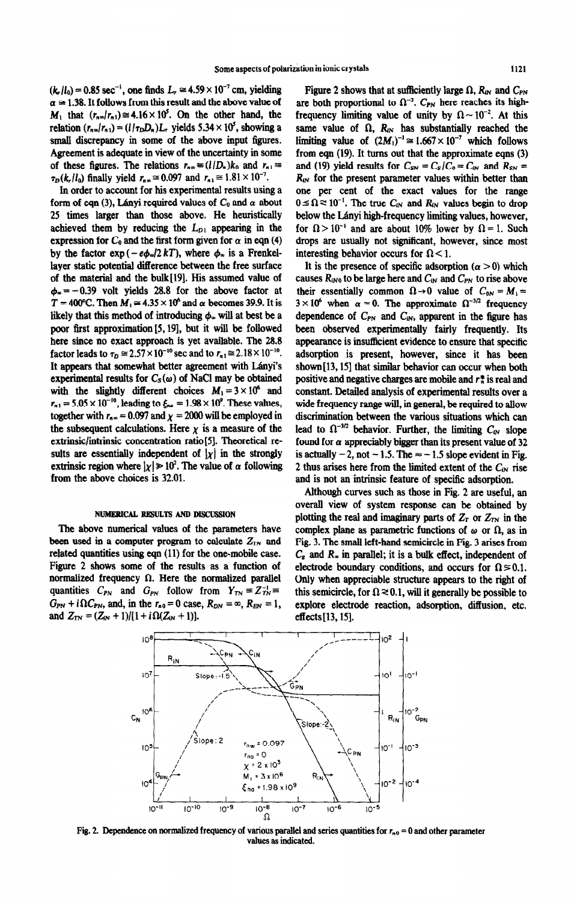$(k, l_0) = 0.85$  sec<sup>-1</sup>, one finds  $L_r \approx 4.59 \times 10^{-7}$  cm, yielding  $\alpha \approx 1.38$ . It follows from this result and the above value of  $M_1$  that  $(r_{n\infty}/r_{n1}) \approx 4.16 \times 10^5$ . On the other hand, the relation  $(r_{n\infty}/r_{n\text{1}}) = (1/\tau_D D_n)L_r$ , yields 5.34 × 10<sup>5</sup>, showing a small discrepancy in some of the above input figures. Agreement is adequate in view of the uncertainty in some of these figures. The relations  $r_{n\infty} = (l/D_n)k_0$  and  $r_{n\infty} =$  $\tau_D(k_r/l_0)$  finally yield  $r_{n,\infty} \approx 0.097$  and  $r_{n,\infty} \approx 1.81 \times 10^{-7}$ .

In order to account for his experimental results using a form of eqn (3), Lányi required values of  $C_0$  and  $\alpha$  about 25 times larger than those above. He heuristically achieved them by reducing the  $L_{D1}$  appearing in the expression for  $C_0$  and the first form given for  $\alpha$  in eqn (4) by the factor  $exp(-e\phi_0/2 kT)$ , where  $\phi_0$  is a Frenkellayer static potential difference between the free surface of the material and the bulk[l9]. His assumed value of  $\phi_{\infty} = -0.39$  volt yields 28.8 for the above factor at  $T = 400^{\circ}$ C. Then  $M_1 \approx 4.35 \times 10^{\circ}$  and  $\alpha$  becomes 39.9. It is likely that this method of introducing  $\phi_{\infty}$  will at best be a poor first approximation [S, 191, but it will be followed here since no exact approach is yet available. The 28.8 **factor leads to**  $\tau_p \approx 2.57 \times 10^{-10}$  **sec and to**  $r_{n,1} \approx 2.18 \times 10^{-10}$ **.** It appears that somewhat better agreement with Lányi's experimental results for  $C_s(\omega)$  of NaCl may be obtained with the slightly different choices  $M_1 = 3 \times 10^6$  and  $r_{n1} = 5.05 \times 10^{-10}$ , leading to  $\xi_{n\alpha} = 1.98 \times 10^{9}$ . These values, together with  $r_{n\infty} = 0.097$  and  $\chi = 2000$  will be employed in the subsequent calculations. Here  $\chi$  is a measure of the extrinsic/intrinsic concentration ratio[S]. Theoretical results are essentially independent of  $|x|$  in the strongly extrinsic region where  $|\chi| \ge 10^2$ . The value of  $\alpha$  following from the above choices is 32.01.

#### **NUMERICAL RESULTS AND DISCUSSION**

**The** above numerical values of the parameters have been used in a computer program to calculate  $Z_{TN}$  and related quantities using eqn (11) for the one-mobile case. Figure 2 shows some of the results as a function of normalized frequency  $\Omega$ . Here the normalized parallel quantities  $C_{PN}$  and  $G_{PN}$  follow from  $Y_{TN} = Z_{TN}^{-1}$  $G_{PN} + i\Omega C_{PN}$ , and, in the  $r_{B0} = 0$  case,  $R_{DN} = \infty$ ,  $R_{EN} = 1$ , and  $Z_{TN} = (Z_{iN} + 1)/[1 + i\Omega(Z_{iN} + 1)].$ 

Figure 2 shows that at sufficiently large  $\Omega$ ,  $R_{IN}$  and  $C_{PN}$ are both proportional to  $\Omega^{-2}$ . C<sub>PN</sub> here reaches its highfrequency limiting value of unity by  $\Omega \sim 10^{-2}$ . At this same value of  $\Omega$ ,  $R_{IN}$  has substantially reached the limiting value of  $(2M_1)^{-1} \approx 1.667 \times 10^{-7}$  which follows from eqn  $(19)$ . It turns out that the approximate eqns  $(3)$ and (19) yield results for  $C_{SN} = C_s/C_0 = C_{iN}$  and  $R_{SN} =$  $R_{\text{UV}}$  for the present parameter values within better than one per cent of the exact values for the range  $0 \leq \Omega \leq 10^{-1}$ . The true  $C_{uN}$  and  $R_{uN}$  values begin to drop below the Lányi high-frequency limiting values, however, for  $\Omega > 10^{-1}$  and are about 10% lower by  $\Omega = 1$ . Such drops are usually not significant, however, since most interesting behavior occurs for  $\Omega$  < 1.

It is the presence of specific adsorption  $(\alpha > 0)$  which causes  $R_{\text{IN}0}$  to be large here and  $C_{\text{IN}}$  and  $C_{\text{PN}}$  to rise above their essentially common  $\Omega \rightarrow 0$  value of  $C_{0N} = M_1 =$  $3 \times 10^6$  when  $\alpha = 0$ . The approximate  $\Omega^{-3/2}$  frequency dependence of  $C_{PN}$  and  $C_{IN}$ , apparent in the figure has been observed experimentally fairly frequently. Its appearance is insufficient evidence to ensure that specific adsorption is present, however, since it has been shown $[13, 15]$  that similar behavior can occur when both positive and negative charges are mobile and  $r_n^*$  is real and constant. Detailed analysis of experimental results over a wide frequency range will, in general, be required to allow discrimination between the various situations which can lead to  $\Omega^{-3/2}$  behavior. Further, the limiting  $C_{W}$  slope found for  $\alpha$  appreciably bigger than its present value of 32 is actually  $-2$ , not  $-1.5$ . The  $\approx -1.5$  slope evident in Fig. 2 thus arises here from the limited extent of the  $C_{4N}$  rise and is not an intrinsic feature of specific adsorption.

Although curves such as those in Fig. 2 are useful, an overall view of system response can be obtained by plotting the real and imaginary parts of  $Z_r$  or  $Z_{rN}$  in the complex plane as parametric functions of  $\omega$  or  $\Omega$ , as in Fig. 3. The small left-hand semicircle in Fig. 3 arises from C, and *R, in parallel;* it is a bulk effect, independent of electrode boundary conditions, and occurs for  $\Omega \approx 0.1$ . Only when appreciable structure appears to the right of this semicircle, for  $\Omega \approx 0.1$ , will it generally be possible to explore electrode reaction, adsorption, diffusion, etc. effects[l3,15].



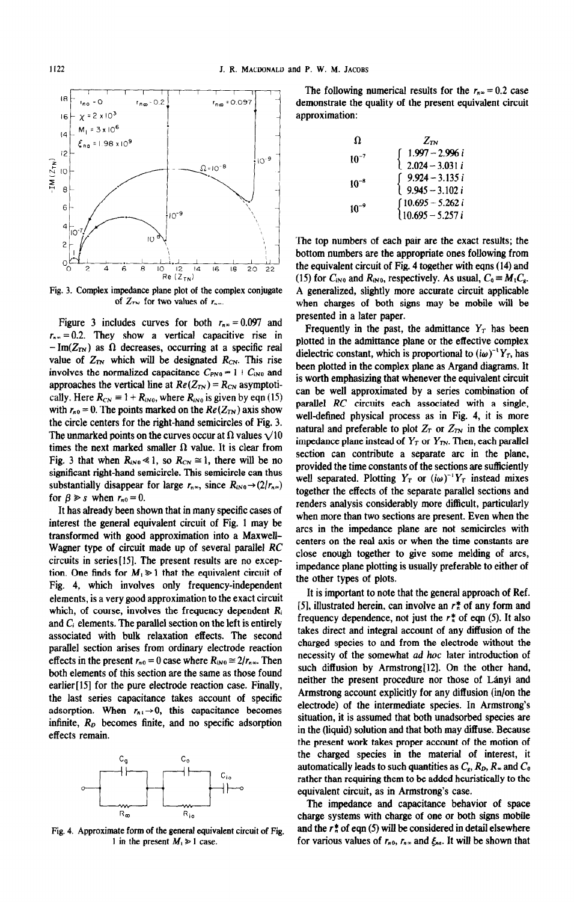18 -  $16 - \chi = 2 \times 10^3$  approximation:  $14$  M<sub>1</sub> = 3 x 10<sup>6</sup>  $_{\rm na}$  = 1.98 x 10<sup>9</sup>  $\overline{2}$  $10^{-9}$  $IM(Z_{TN})$  $10^{-8}$  $\overline{10}$ 8 6  $10^{-9}$ 4 O Ю  $\overline{c}$  $\delta_{\rm c}$  $\frac{6}{6}$   $\frac{1}{2}$   $\frac{1}{4}$   $\frac{1}{6}$   $\frac{1}{8}$   $\frac{1}{12}$   $\frac{1}{14}$   $\frac{1}{12}$   $\frac{1}{12}$   $\frac{1}{12}$   $\frac{1}{12}$   $\frac{1}{12}$   $\frac{1}{12}$   $\frac{1}{12}$   $\frac{1}{12}$   $\frac{1}{12}$   $\frac{1}{12}$   $\frac{1}{12}$   $\frac{1}{12}$   $\frac{1}{12}$   $\frac{1}{$ 2 6 8  $\frac{12}{(Z_{TN})}$ 22  $|4$ 16 18 20

of  $Z_{\tau\tau}$  for two values of  $r_{\tau\tau}$ .

Figure 3 includes curves for both  $r_{n\infty} = 0.097$  and  $r_{n\infty} = 0.2$ . They show a vertical capacitive rise in  $-\text{Im}(Z_{TN})$  as  $\Omega$  decreases, occurring at a specific real value of  $Z_{TN}$  which will be designated  $R_{CN}$ . This rise involves the normalized capacitance  $C_{PN0} = 1 + C_{N0}$  and approaches the vertical line at  $Re(Z_{TN}) = R_{CN}$  asymptotically. Here  $R_{CN} \equiv 1 + R_{IN0}$ , where  $R_{IN0}$  is given by eqn (15) with  $r_{n0} = 0$ . The points marked on the  $Re(Z_{TN})$  axis show the circle centers for the right-hand semicircles of Fig. 3. The unmarked points on the curves occur at  $\Omega$  values  $\sqrt{10}$ times the next marked smaller  $\Omega$  value. It is clear from Fig. 3 that when  $R_{IN0} \ll 1$ , so  $R_{CN} \approx 1$ , there will be no significant right-hand semicircle. This semicircle can thus substantially disappear for large  $r_{n_{\infty}}$ , since  $R_{iN0}\rightarrow(2/r_{n_{\infty}})$ for  $\beta \geq s$  when  $r_{n0} = 0$ .

It has already been shown that in many specific cases of interest the general equivalent circuit of Fig. 1 may be transformed with good approximation into a Maxwell-Wagner type of circuit made up of several parallel *RC*  circuits in series[l5]. The present results are no exception. One finds for  $M_1 \geq 1$  that the equivalent circuit of Fig. 4, which involves only frequency-independent elements, is a very good approximation to the exact circuit which, of course, involves the frequency dependent  $R_i$ and  $C_i$  elements. The parallel section on the left is entirely associated with bulk relaxation effects. The second parallel section arises from ordinary electrode reaction effects in the present  $r_{n0} = 0$  case where  $R_{iN0} \approx 2/r_{n\infty}$ . Then both elements of this section are the same as those found earlier<sup>[15]</sup> for the pure electrode reaction case. Finally, the last series capacitance takes account of specific adsorption. When  $r_{n-1} \rightarrow 0$ , this capacitance becomes infinite,  $R<sub>D</sub>$  becomes finite, and no specific adsorption effects remain.

 $C_{q}$  $C_0$  $C_{10}$  $R_{\infty}$  $R_{io}$ 

Fig. 4. Approximate form of the general equivalent circuit of Fig. 1 in the present  $M_1 \ge 1$  case.

The following numerical results for the  $r_{n} = 0.2$  case  $r_{\text{no}} = 0$   $r_{\text{no}} = 0.2$   $r_{\text{no}} = 0.097$  demonstrate the quality of the present equivalent circuit

| $\Omega$  | $Z_{TN}$                                                         |
|-----------|------------------------------------------------------------------|
| $10^{-7}$ | $\begin{cases} 1.997 - 2.996 i \\ 2.024 - 3.031 i \end{cases}$   |
| $10^{-8}$ | $\begin{cases} 9.924 - 3.135 i \\ 9.945 - 3.102 i \end{cases}$   |
| $10^{-9}$ | $\begin{cases} 10.695 - 5.262 i \\ 10.695 - 5.257 i \end{cases}$ |

*The* top numbers of each pair are the exact results; the bottom numbers are the appropriate ones following from the equivalent circuit of Fig. 4 together with eqns (14) and (15) for  $C_{N0}$  and  $R_{N0}$ , respectively. As usual,  $C_0 = M_1 C_8$ . A generalized, slightly more accurate circuit applicable when charges of both signs may be mobile will be presented in a later paper.

Frequently in the past, the admittance  $Y_T$  has been plotted in the admittance plane or the effective complex dielectric constant, which is proportional to  $(i\omega)^{-1}Y_T$ , has been plotted in the complex plane as Argand diagrams. It is worth emphasizing that whenever the equivalent circuit can be well approximated by a series combination of parallel *RC* circuits each associated with a single, well-defined physical process as in Fig. 4, it is more natural and preferable to plot  $Z_T$  or  $Z_{TN}$  in the complex impedance plane instead of  $Y_T$  or  $Y_{TN}$ . Then, each parallel section can contribute a separate arc in the plane, provided the time constants of the sections are sufhciently well separated. Plotting  $Y_T$  or  $(i\omega)^{-1}Y_T$  instead mixes together the effects of the separate parallel sections and renders analysis considerably more difficult, particularly when more than two sections are present. Even when the arcs in the impedance plane are not semicircles with centers on the real axis or when the time constants are close enough together to give some melding of arcs, impedance plane plotting is usually preferable to either of the other types of plots.

It is important to note that the general approach of Ref. [5], illustrated herein, can involve an  $r_n^*$  of any form and frequency dependence, not just the  $r_n^*$  of eqn (5). It also takes direct and integral account of any diffusion of the charged species to and from the electrode without the necessity of the somewhat *ad hoc* later introduction of such diffusion by Armstrong[12]. On the other hand, neither the present procedure nor those of Lanyi and Armstrong account explicitly for any diffusion (in/on the electrode) of the intermediate species. In Armstrong's situation, it is assumed that both unadsorbed species are in the (liquid) solution and that both may diffuse. Because the present work takes proper account of the motion of the charged species in the material of interest, it automatically leads to such quantities as  $C_s$ ,  $R_p$ ,  $R_a$  and  $C_0$ rather than requiring them to be added heuristically to the equivalent circuit, as in Armstrong's case.

The impedance and capacitance behavior of space charge systems with charge of one or both signs mobile and the  $r_n^*$  of eqn (5) will be considered in detail elsewhere for various values of  $r_{n0}$ ,  $r_{n}$  and  $\xi_{na}$ . It will be shown that